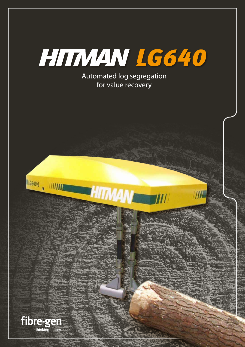